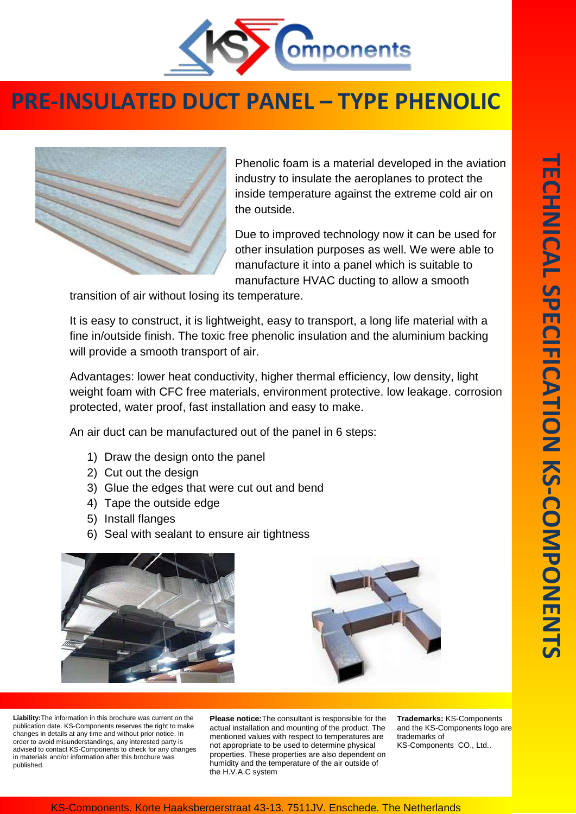

## **PRE-INSULATED DUCT PANEL – TYPE PHENOLIC**



Phenolic foam is a material developed in the aviation industry to insulate the aeroplanes to protect the inside temperature against the extreme cold air on the outside.

Due to improved technology now it can be used for other insulation purposes as well. We were able to manufacture it into a panel which is suitable to manufacture HVAC ducting to allow a smooth

transition of air without losing its temperature.

It is easy to construct, it is lightweight, easy to transport, a long life material with a fine in/outside finish. The toxic free phenolic insulation and the aluminium backing will provide a smooth transport of air.

Advantages: lower heat conductivity, higher thermal efficiency, low density, light weight foam with CFC free materials, environment protective. low leakage. corrosion protected, water proof, fast installation and easy to make.

An air duct can be manufactured out of the panel in 6 steps:

- 1) Draw the design onto the panel
- 2) Cut out the design
- 3) Glue the edges that were cut out and bend
- 4) Tape the outside edge
- 5) Install flanges
- 6) Seal with sealant to ensure air tightness





**Liability:**The information in this brochure was current on the publication date. KS-Components reserves the right to make changes in details at any time and without prior notice. In order to avoid misunderstandings, any interested party is advised to contact KS-Components to check for any changes in materials and/or information after this brochure was published.

**Please notice:**The consultant is responsible for the actual installation and mounting of the product. The mentioned values with respect to temperatures are not appropriate to be used to determine physical properties. These properties are also dependent on humidity and the temperature of the air outside of the H.V.A.C system

**Trademarks:** KS-Components and the KS-Components logo are trademarks of KS-Components CO., Ltd..